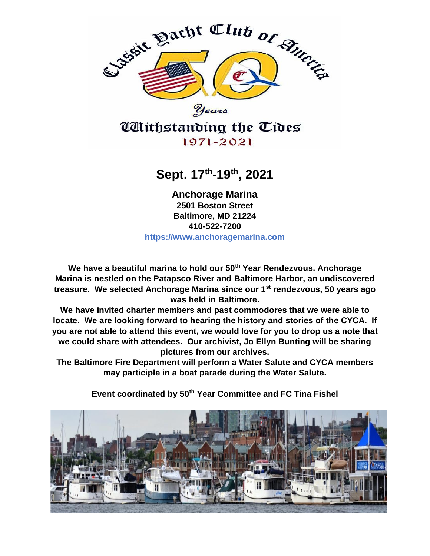

**Sept. 17th -19th, 2021**

**Anchorage Marina 2501 Boston Street Baltimore, MD 21224 410-522-7200 https://www.anchoragemarina.com**

**We have a beautiful marina to hold our 50th Year Rendezvous. Anchorage Marina is nestled on the Patapsco River and Baltimore Harbor, an undiscovered treasure. We selected Anchorage Marina since our 1st rendezvous, 50 years ago was held in Baltimore.**

**We have invited charter members and past commodores that we were able to locate. We are looking forward to hearing the history and stories of the CYCA. If you are not able to attend this event, we would love for you to drop us a note that we could share with attendees. Our archivist, Jo Ellyn Bunting will be sharing pictures from our archives.**

**The Baltimore Fire Department will perform a Water Salute and CYCA members may participle in a boat parade during the Water Salute.**

**Event coordinated by 50th Year Committee and FC Tina Fishel**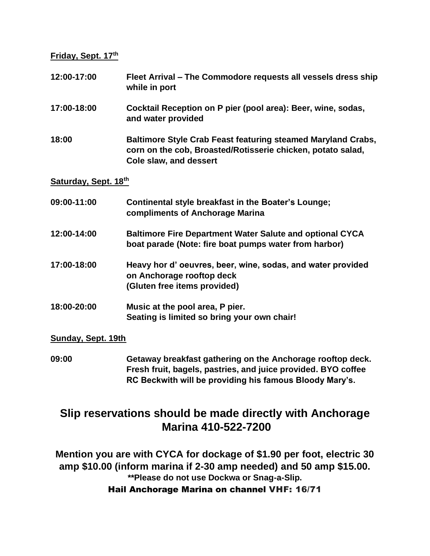**Friday, Sept. 17th**

| 12:00-17:00          | Fleet Arrival - The Commodore requests all vessels dress ship<br>while in port                                                                        |  |
|----------------------|-------------------------------------------------------------------------------------------------------------------------------------------------------|--|
| 17:00-18:00          | Cocktail Reception on P pier (pool area): Beer, wine, sodas,<br>and water provided                                                                    |  |
| 18:00                | Baltimore Style Crab Feast featuring steamed Maryland Crabs,<br>corn on the cob, Broasted/Rotisserie chicken, potato salad,<br>Cole slaw, and dessert |  |
| Saturday, Sept. 18th |                                                                                                                                                       |  |
| 09:00-11:00          | Continental style breakfast in the Boater's Lounge;<br>compliments of Anchorage Marina                                                                |  |
| 12:00-14:00          | <b>Baltimore Fire Department Water Salute and optional CYCA</b><br>boat parade (Note: fire boat pumps water from harbor)                              |  |
| 17:00-18:00          | Heavy hor d' oeuvres, beer, wine, sodas, and water provided<br>on Anchorage rooftop deck<br>(Gluten free items provided)                              |  |
| 18:00-20:00          | Music at the pool area, P pier.<br>Seating is limited so bring your own chair!                                                                        |  |

## **Sunday, Sept. 19th**

**09:00 Getaway breakfast gathering on the Anchorage rooftop deck. Fresh fruit, bagels, pastries, and juice provided. BYO coffee RC Beckwith will be providing his famous Bloody Mary's.**

## **Slip reservations should be made directly with Anchorage Marina 410-522-7200**

**Mention you are with CYCA for dockage of \$1.90 per foot, electric 30 amp \$10.00 (inform marina if 2-30 amp needed) and 50 amp \$15.00. \*\*Please do not use Dockwa or Snag-a-Slip.**

Hail Anchorage Marina on channel VHF: 16/71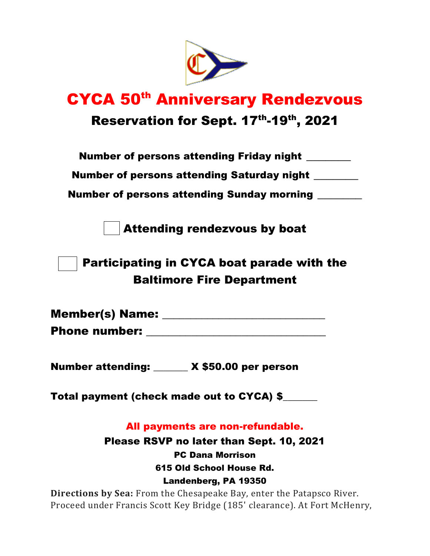

## **CYCA 50<sup>th</sup> Anniversary Rendezvous** Reservation for Sept. 17<sup>th</sup>-19<sup>th</sup>, 2021

Number of persons attending Saturday night \_\_\_\_\_\_\_

Number of persons attending Sunday morning **Number** 

Attending rendezvous by boat

Participating in CYCA boat parade with the Baltimore Fire Department

| Member(s) Name:      |  |
|----------------------|--|
| <b>Phone number:</b> |  |

Number attending: \_\_\_\_\_\_\_ X \$50.00 per person

Total payment (check made out to CYCA) \$\_\_\_\_\_\_\_

All payments are non-refundable.

Please RSVP no later than Sept. 10, 2021 PC Dana Morrison 615 Old School House Rd. Landenberg, PA 19350

**Directions by Sea:** From the Chesapeake Bay, enter the Patapsco River. Proceed under Francis Scott Key Bridge (185' clearance). At Fort McHenry,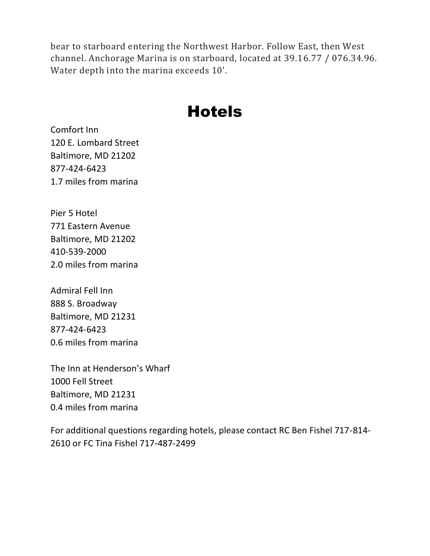bear to starboard entering the Northwest Harbor. Follow East, then West channel. Anchorage Marina is on starboard, located at 39.16.77 / 076.34.96. Water depth into the marina exceeds 10'.

## **Hotels**

Comfort Inn 120 E. Lombard Street Baltimore, MD 21202 877-424-6423 1.7 miles from marina

Pier 5 Hotel 771 Eastern Avenue Baltimore, MD 21202 410-539-2000 2.0 miles from marina

Admiral Fell Inn 888 S. Broadway Baltimore, MD 21231 877-424-6423 0.6 miles from marina

The Inn at Henderson's Wharf 1000 Fell Street Baltimore, MD 21231 0.4 miles from marina

For additional questions regarding hotels, please contact RC Ben Fishel 717-814- 2610 or FC Tina Fishel 717-487-2499